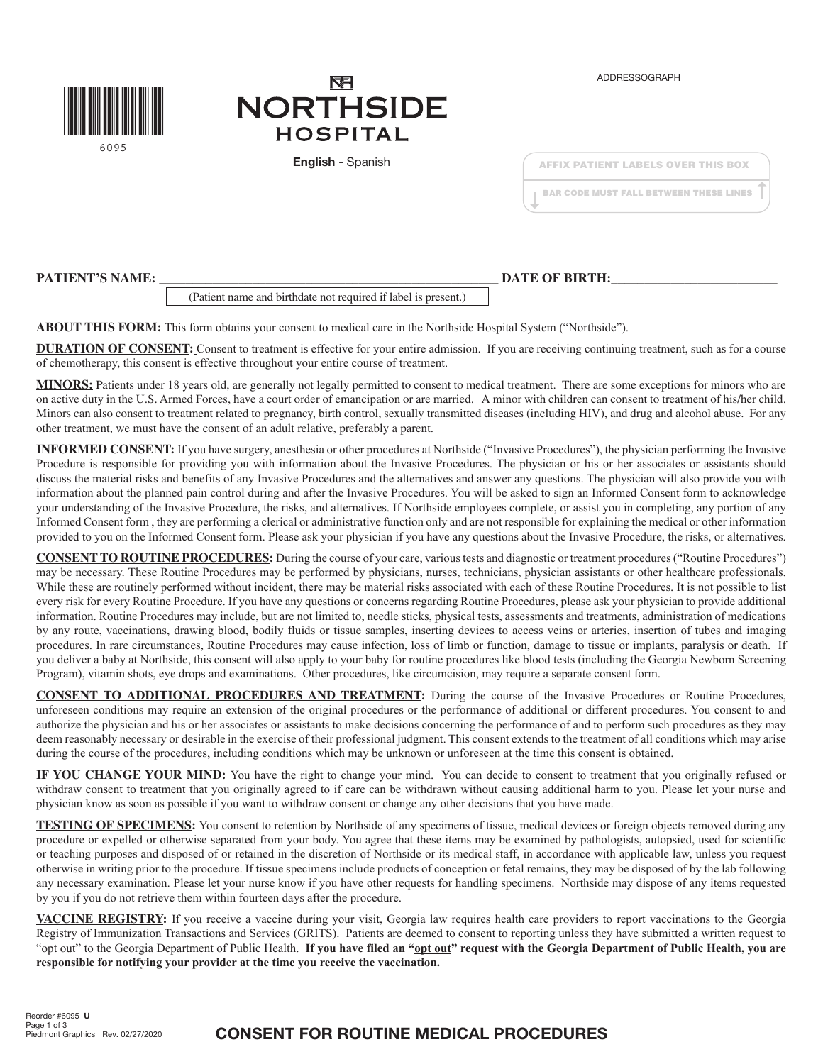

# **NFI NORTHSIDE HOSPITAL**

English - Spanish

|  |  |  | <b>AFFIX PATIENT LABELS OVER THIS BOX</b>     |  |
|--|--|--|-----------------------------------------------|--|
|  |  |  | <b>BAR CODE MUST FALL BETWEEN THESE LINES</b> |  |

### **PATIENT'S NAME:**  $\blacksquare$

(Patient name and birthdate not required if label is present.)

**ABOUT THIS FORM:** This form obtains your consent to medical care in the Northside Hospital System ("Northside").

**DURATION OF CONSENT:** Consent to treatment is effective for your entire admission. If you are receiving continuing treatment, such as for a course of chemotherapy, this consent is effective throughout your entire course of treatment.

**MINORS:** Patients under 18 years old, are generally not legally permitted to consent to medical treatment. There are some exceptions for minors who are on active duty in the U.S. Armed Forces, have a court order of emancipation or are married. A minor with children can consent to treatment of his/her child. Minors can also consent to treatment related to pregnancy, birth control, sexually transmitted diseases (including HIV), and drug and alcohol abuse. For any other treatment, we must have the consent of an adult relative, preferably a parent.

**INFORMED CONSENT:** If you have surgery, anesthesia or other procedures at Northside ("Invasive Procedures"), the physician performing the Invasive Procedure is responsible for providing you with information about the Invasive Procedures. The physician or his or her associates or assistants should discuss the material risks and benefits of any Invasive Procedures and the alternatives and answer any questions. The physician will also provide you with information about the planned pain control during and after the Invasive Procedures. You will be asked to sign an Informed Consent form to acknowledge your understanding of the Invasive Procedure, the risks, and alternatives. If Northside employees complete, or assist you in completing, any portion of any Informed Consent form , they are performing a clerical or administrative function only and are not responsible for explaining the medical or other information provided to you on the Informed Consent form. Please ask your physician if you have any questions about the Invasive Procedure, the risks, or alternatives.

**CONSENT TO ROUTINE PROCEDURES:** During the course of your care, various tests and diagnostic or treatment procedures ("Routine Procedures") may be necessary. These Routine Procedures may be performed by physicians, nurses, technicians, physician assistants or other healthcare professionals. While these are routinely performed without incident, there may be material risks associated with each of these Routine Procedures. It is not possible to list every risk for every Routine Procedure. If you have any questions or concerns regarding Routine Procedures, please ask your physician to provide additional information. Routine Procedures may include, but are not limited to, needle sticks, physical tests, assessments and treatments, administration of medications by any route, vaccinations, drawing blood, bodily fluids or tissue samples, inserting devices to access veins or arteries, insertion of tubes and imaging procedures. In rare circumstances, Routine Procedures may cause infection, loss of limb or function, damage to tissue or implants, paralysis or death. If you deliver a baby at Northside, this consent will also apply to your baby for routine procedures like blood tests (including the Georgia Newborn Screening Program), vitamin shots, eye drops and examinations. Other procedures, like circumcision, may require a separate consent form.

**CONSENT TO ADDITIONAL PROCEDURES AND TREATMENT:** During the course of the Invasive Procedures or Routine Procedures, unforeseen conditions may require an extension of the original procedures or the performance of additional or different procedures. You consent to and authorize the physician and his or her associates or assistants to make decisions concerning the performance of and to perform such procedures as they may deem reasonably necessary or desirable in the exercise of their professional judgment. This consent extends to the treatment of all conditions which may arise during the course of the procedures, including conditions which may be unknown or unforeseen at the time this consent is obtained.

**IF YOU CHANGE YOUR MIND:** You have the right to change your mind. You can decide to consent to treatment that you originally refused or withdraw consent to treatment that you originally agreed to if care can be withdrawn without causing additional harm to you. Please let your nurse and physician know as soon as possible if you want to withdraw consent or change any other decisions that you have made.

**TESTING OF SPECIMENS:** You consent to retention by Northside of any specimens of tissue, medical devices or foreign objects removed during any procedure or expelled or otherwise separated from your body. You agree that these items may be examined by pathologists, autopsied, used for scientific or teaching purposes and disposed of or retained in the discretion of Northside or its medical staff, in accordance with applicable law, unless you request otherwise in writing prior to the procedure. If tissue specimens include products of conception or fetal remains, they may be disposed of by the lab following any necessary examination. Please let your nurse know if you have other requests for handling specimens. Northside may dispose of any items requested by you if you do not retrieve them within fourteen days after the procedure.

**VACCINE REGISTRY:** If you receive a vaccine during your visit, Georgia law requires health care providers to report vaccinations to the Georgia Registry of Immunization Transactions and Services (GRITS). Patients are deemed to consent to reporting unless they have submitted a written request to "opt out" to the Georgia Department of Public Health. **If you have filed an "opt out" request with the Georgia Department of Public Health, you are responsible for notifying your provider at the time you receive the vaccination.**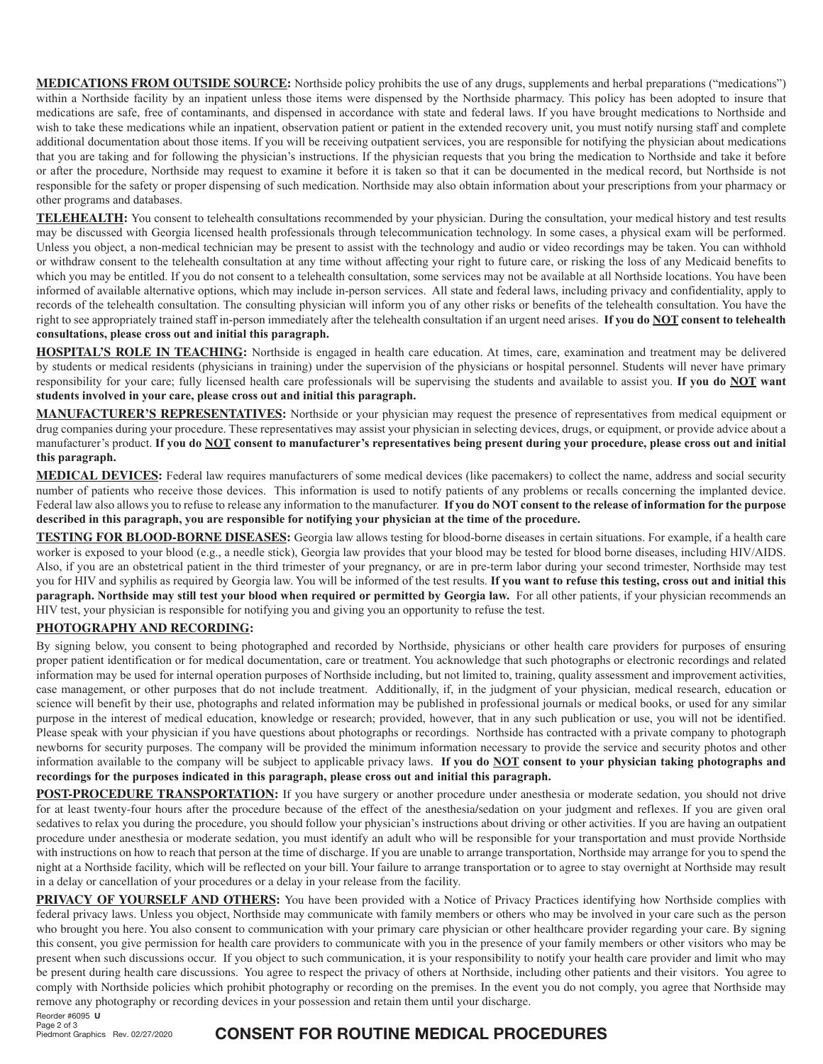**MEDICATIONS FROM OUTSIDE SOURCE:** Northside policy prohibits the use of any drugs, supplements and herbal preparations ("medications") within a Northside facility by an inpatient unless those items were dispensed by the Northside pharmacy. This policy has been adopted to insure that medications are safe, free of contaminants, and dispensed in accordance with state and federal laws. If you have brought medications to Northside and wish to take these medications while an inpatient, observation patient or patient in the extended recovery unit, you must notify nursing staff and complete additional documentation about those items. If you will be receiving outpatient services, you are responsible for notifying the physician about medications that you are taking and for following the physician's instructions. If the physician requests that you bring the medication to Northside and take it before or after the procedure, Northside may request to examine it before it is taken so that it can be documented in the medical record, but Northside is not responsible for the safety or proper dispensing of such medication. Northside may also obtain information about your prescriptions from your pharmacy or other programs and databases.

**TELEHEALTH:** You consent to telehealth consultations recommended by your physician. During the consultation, your medical history and test results may be discussed with Georgia licensed health professionals through telecommunication technology. In some cases, a physical exam will be performed. Unless you object, a non-medical technician may be present to assist with the technology and audio or video recordings may be taken. You can withhold or withdraw consent to the telehealth consultation at any time without affecting your right to future care, or risking the loss of any Medicaid benefits to which you may be entitled. If you do not consent to a telehealth consultation, some services may not be available at all Northside locations. You have been informed of available alternative options, which may include in-person services. All state and federal laws, including privacy and confidentiality, apply to records of the telehealth consultation. The consulting physician will inform you of any other risks or benefits of the telehealth consultation. You have the right to see appropriately trained staff in-person immediately after the telehealth consultation if an urgent need arises. **If you do NOT consent to telehealth consultations, please cross out and initial this paragraph.**

**HOSPITAL'S ROLE IN TEACHING:** Northside is engaged in health care education. At times, care, examination and treatment may be delivered by students or medical residents (physicians in training) under the supervision of the physicians or hospital personnel. Students will never have primary responsibility for your care; fully licensed health care professionals will be supervising the students and available to assist you. **If you do NOT want students involved in your care, please cross out and initial this paragraph.**

**MANUFACTURER'S REPRESENTATIVES:** Northside or your physician may request the presence of representatives from medical equipment or drug companies during your procedure. These representatives may assist your physician in selecting devices, drugs, or equipment, or provide advice about a manufacturer's product. **If you do NOT consent to manufacturer's representatives being present during your procedure, please cross out and initial this paragraph.**

**MEDICAL DEVICES:** Federal law requires manufacturers of some medical devices (like pacemakers) to collect the name, address and social security number of patients who receive those devices. This information is used to notify patients of any problems or recalls concerning the implanted device. Federal law also allows you to refuse to release any information to the manufacturer. **If you do NOT consent to the release of information for the purpose described in this paragraph, you are responsible for notifying your physician at the time of the procedure.** 

**TESTING FOR BLOOD-BORNE DISEASES:** Georgia law allows testing for blood-borne diseases in certain situations. For example, if a health care worker is exposed to your blood (e.g., a needle stick), Georgia law provides that your blood may be tested for blood borne diseases, including HIV/AIDS. Also, if you are an obstetrical patient in the third trimester of your pregnancy, or are in pre-term labor during your second trimester, Northside may test you for HIV and syphilis as required by Georgia law. You will be informed of the test results. **If you want to refuse this testing, cross out and initial this paragraph. Northside may still test your blood when required or permitted by Georgia law.** For all other patients, if your physician recommends an HIV test, your physician is responsible for notifying you and giving you an opportunity to refuse the test.

#### **PHOTOGRAPHY AND RECORDING:**

By signing below, you consent to being photographed and recorded by Northside, physicians or other health care providers for purposes of ensuring proper patient identification or for medical documentation, care or treatment. You acknowledge that such photographs or electronic recordings and related information may be used for internal operation purposes of Northside including, but not limited to, training, quality assessment and improvement activities, case management, or other purposes that do not include treatment. Additionally, if, in the judgment of your physician, medical research, education or science will benefit by their use, photographs and related information may be published in professional journals or medical books, or used for any similar purpose in the interest of medical education, knowledge or research; provided, however, that in any such publication or use, you will not be identified. Please speak with your physician if you have questions about photographs or recordings. Northside has contracted with a private company to photograph newborns for security purposes. The company will be provided the minimum information necessary to provide the service and security photos and other information available to the company will be subject to applicable privacy laws. **If you do NOT consent to your physician taking photographs and recordings for the purposes indicated in this paragraph, please cross out and initial this paragraph.**

**POST-PROCEDURE TRANSPORTATION:** If you have surgery or another procedure under anesthesia or moderate sedation, you should not drive for at least twenty-four hours after the procedure because of the effect of the anesthesia/sedation on your judgment and reflexes. If you are given oral sedatives to relax you during the procedure, you should follow your physician's instructions about driving or other activities. If you are having an outpatient procedure under anesthesia or moderate sedation, you must identify an adult who will be responsible for your transportation and must provide Northside with instructions on how to reach that person at the time of discharge. If you are unable to arrange transportation, Northside may arrange for you to spend the night at a Northside facility, which will be reflected on your bill. Your failure to arrange transportation or to agree to stay overnight at Northside may result in a delay or cancellation of your procedures or a delay in your release from the facility.

**PRIVACY OF YOURSELF AND OTHERS:** You have been provided with a Notice of Privacy Practices identifying how Northside complies with federal privacy laws. Unless you object, Northside may communicate with family members or others who may be involved in your care such as the person who brought you here. You also consent to communication with your primary care physician or other healthcare provider regarding your care. By signing this consent, you give permission for health care providers to communicate with you in the presence of your family members or other visitors who may be present when such discussions occur. If you object to such communication, it is your responsibility to notify your health care provider and limit who may be present during health care discussions. You agree to respect the privacy of others at Northside, including other patients and their visitors. You agree to comply with Northside policies which prohibit photography or recording on the premises. In the event you do not comply, you agree that Northside may remove any photography or recording devices in your possession and retain them until your discharge.

Reorder #6095 U Page 2 of 3

Piedmont Graphics Rev. 02/27/2020

## CONSENT FOR ROUTINE MEDICAL PROCEDURES